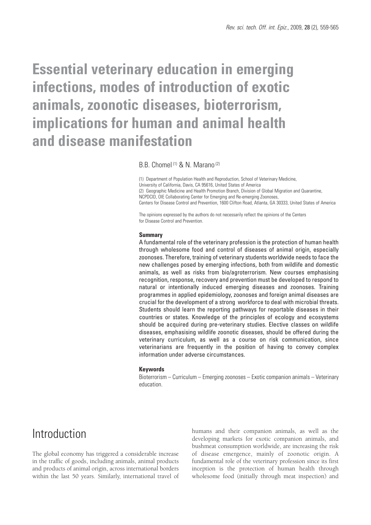# **Essential veterinary education in emerging infections, modes of introduction of exotic animals, zoonotic diseases, bioterrorism, implications for human and animal health and disease manifestation**

# B.B. Chomel (1) & N. Marano (2)

(1) Department of Population Health and Reproduction, School of Veterinary Medicine, University of California, Davis, CA 95616, United States of America (2) Geographic Medicine and Health Promotion Branch, Division of Global Migration and Quarantine, NCPDCID, OIE Collaborating Center for Emerging and Re-emerging Zoonoses, Centers for Disease Control and Prevention, 1600 Clifton Road, Atlanta, GA 30333, United States of America

The opinions expressed by the authors do not necessarily reflect the opinions of the Centers for Disease Control and Prevention.

#### **Summary**

A fundamental role of the veterinary profession is the protection of human health through wholesome food and control of diseases of animal origin, especially zoonoses. Therefore, training of veterinary students worldwide needs to face the new challenges posed by emerging infections, both from wildlife and domestic animals, as well as risks from bio/agroterrorism. New courses emphasising recognition, response, recovery and prevention must be developed to respond to natural or intentionally induced emerging diseases and zoonoses. Training programmes in applied epidemiology, zoonoses and foreign animal diseases are crucial for the development of a strong workforce to deal with microbial threats. Students should learn the reporting pathways for reportable diseases in their countries or states. Knowledge of the principles of ecology and ecosystems should be acquired during pre-veterinary studies. Elective classes on wildlife diseases, emphasising wildlife zoonotic diseases, should be offered during the veterinary curriculum, as well as a course on risk communication, since veterinarians are frequently in the position of having to convey complex information under adverse circumstances.

#### **Keywords**

Bioterrorism – Curriculum – Emerging zoonoses – Exotic companion animals – Veterinary education.

# Introduction

The global economy has triggered a considerable increase in the traffic of goods, including animals, animal products and products of animal origin, across international borders within the last 50 years. Similarly, international travel of humans and their companion animals, as well as the developing markets for exotic companion animals, and bushmeat consumption worldwide, are increasing the risk of disease emergence, mainly of zoonotic origin. A fundamental role of the veterinary profession since its first inception is the protection of human health through wholesome food (initially through meat inspection) and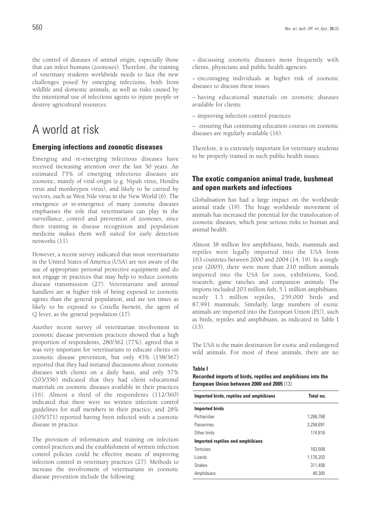the control of diseases of animal origin, especially those that can infect humans (zoonoses). Therefore, the training of veterinary students worldwide needs to face the new challenges posed by emerging infections, both from wildlife and domestic animals, as well as risks caused by the intentional use of infectious agents to injure people or destroy agricultural resources.

# A world at risk

## **Emerging infections and zoonotic diseases**

Emerging and re-emerging infectious diseases have received increasing attention over the last 30 years. An estimated 75% of emerging infectious diseases are zoonotic, mainly of viral origin (e.g. Nipah virus, Hendra virus and monkeypox virus), and likely to be carried by vectors, such as West Nile virus in the New World (6). The emergence or re-emergence of many zoonotic diseases emphasises the role that veterinarians can play in the surveillance, control and prevention of zoonoses, since their training in disease recognition and population medicine makes them well suited for early detection networks (11).

However, a recent survey indicated that most veterinarians in the United States of America (USA) are not aware of the use of appropriate personal protective equipment and do not engage in practices that may help to reduce zoonotic disease transmission (27). Veterinarians and animal handlers are at higher risk of being exposed to zoonotic agents than the general population, and are ten times as likely to be exposed to *Coxiella burnetii*, the agent of Q fever, as the general population (17).

Another recent survey of veterinarian involvement in zoonotic disease prevention practices showed that a high proportion of respondents, 280/362 (77%), agreed that it was very important for veterinarians to educate clients on zoonotic disease prevention, but only 43% (158/367) reported that they had initiated discussions about zoonotic diseases with clients on a daily basis, and only 57% (203/356) indicated that they had client educational materials on zoonotic diseases available in their practices (16). Almost a third of the respondents (112/360) indicated that there were no written infection control guidelines for staff members in their practice, and 28% (105/371) reported having been infected with a zoonotic disease in practice.

The provision of information and training on infection control practices and the establishment of written infection control policies could be effective means of improving infection control in veterinary practices (27). Methods to increase the involvement of veterinarians in zoonotic disease prevention include the following:

− discussing zoonotic diseases more frequently with clients, physicians and public health agencies

− encouraging individuals at higher risk of zoonotic diseases to discuss these issues

− having educational materials on zoonotic diseases available for clients

− improving infection control practices

− ensuring that continuing education courses on zoonotic diseases are regularly available (16).

Therefore, it is extremely important for veterinary students to be properly trained in such public health issues.

# **The exotic companion animal trade, bushmeat and open markets and infections**

Globalisation has had a large impact on the worldwide animal trade (19). The huge worldwide movement of animals has increased the potential for the translocation of zoonotic diseases, which pose serious risks to human and animal health.

Almost 38 million live amphibians, birds, mammals and reptiles were legally imported into the USA from 163 countries between 2000 and 2004 (14, 19). In a single year (2005), there were more than 210 million animals imported into the USA for zoos, exhibitions, food, research, game ranches and companion animals. The imports included 203 million fish, 5.1 million amphibians, nearly 1.3 million reptiles, 259,000 birds and 87,991 mammals. Similarly, large numbers of exotic animals are imported into the European Union (EU), such as birds, reptiles and amphibians, as indicated in Table I  $(13)$ .

The USA is the main destination for exotic and endangered wild animals. For most of these animals, there are no

#### **Table I**

### **Recorded imports of birds, reptiles and amphibians into the European Union between 2000 and 2005** (13)

| Imported birds, reptiles and amphibians | Total no. |
|-----------------------------------------|-----------|
| <b>Imported birds</b>                   |           |
| Psittacidae                             | 1,268,768 |
| Passerines                              | 3.258.691 |
| Other birds                             | 174.818   |
| Imported reptiles and amphibians        |           |
| <b>Tortoises</b>                        | 163.508   |
| Lizards                                 | 1,176,203 |
| <b>Snakes</b>                           | 311,456   |
| Amphibians                              | 40.300    |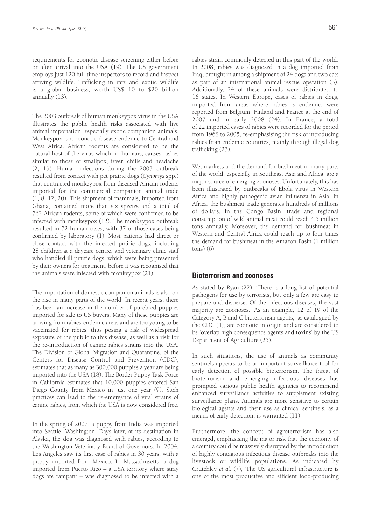requirements for zoonotic disease screening either before or after arrival into the USA (19). The US government employs just 120 full-time inspectors to record and inspect arriving wildlife. Trafficking in rare and exotic wildlife is a global business, worth US\$ 10 to \$20 billion annually (13).

The 2003 outbreak of human monkeypox virus in the USA illustrates the public health risks associated with live animal importation, especially exotic companion animals. Monkeypox is a zoonotic disease endemic to Central and West Africa. African rodents are considered to be the natural host of the virus which, in humans, causes rashes similar to those of smallpox, fever, chills and headache (2, 15). Human infections during the 2003 outbreak resulted from contact with pet prairie dogs (*Cynomys* spp.) that contracted monkeypox from diseased African rodents imported for the commercial companion animal trade (1, 8, 12, 20). This shipment of mammals, imported from Ghana, contained more than six species and a total of 762 African rodents, some of which were confirmed to be infected with monkeypox (12). The monkeypox outbreak resulted in 72 human cases, with 37 of those cases being confirmed by laboratory (1). Most patients had direct or close contact with the infected prairie dogs, including 28 children at a daycare centre, and veterinary clinic staff who handled ill prairie dogs, which were being presented by their owners for treatment, before it was recognised that the animals were infected with monkeypox (21).

The importation of domestic companion animals is also on the rise in many parts of the world. In recent years, there has been an increase in the number of purebred puppies imported for sale to US buyers. Many of these puppies are arriving from rabies-endemic areas and are too young to be vaccinated for rabies, thus posing a risk of widespread exposure of the public to this disease, as well as a risk for the re-introduction of canine rabies strains into the USA. The Division of Global Migration and Quarantine, of the Centers for Disease Control and Prevention (CDC), estimates that as many as 300,000 puppies a year are being imported into the USA (18). The Border Puppy Task Force in California estimates that 10,000 puppies entered San Diego County from Mexico in just one year (9). Such practices can lead to the re-emergence of viral strains of canine rabies, from which the USA is now considered free.

In the spring of 2007, a puppy from India was imported into Seattle, Washington. Days later, at its destination in Alaska, the dog was diagnosed with rabies, according to the Washington Veterinary Board of Governors. In 2004, Los Angeles saw its first case of rabies in 30 years, with a puppy imported from Mexico. In Massachusetts, a dog imported from Puerto Rico – a USA territory where stray dogs are rampant – was diagnosed to be infected with a

rabies strain commonly detected in this part of the world. In 2008, rabies was diagnosed in a dog imported from Iraq, brought in among a shipment of 24 dogs and two cats as part of an international animal rescue operation (3). Additionally, 24 of these animals were distributed to 16 states. In Western Europe, cases of rabies in dogs, imported from areas where rabies is endemic, were reported from Belgium, Finland and France at the end of 2007 and in early 2008 (24). In France, a total of 22 imported cases of rabies were recorded for the period from 1968 to 2005, re-emphasising the risk of introducing rabies from endemic countries, mainly through illegal dog trafficking (23).

Wet markets and the demand for bushmeat in many parts of the world, especially in Southeast Asia and Africa, are a major source of emerging zoonoses. Unfortunately, this has been illustrated by outbreaks of Ebola virus in Western Africa and highly pathogenic avian influenza in Asia. In Africa, the bushmeat trade generates hundreds of millions of dollars. In the Congo Basin, trade and regional consumption of wild animal meat could reach 4.5 million tons annually. Moreover, the demand for bushmeat in Western and Central Africa could reach up to four times the demand for bushmeat in the Amazon Basin (1 million tons) (6).

### **Bioterrorism and zoonoses**

As stated by Ryan (22), 'There is a long list of potential pathogens for use by terrorists, but only a few are easy to prepare and disperse. Of the infectious diseases, the vast majority are zoonoses.' As an example, 12 of 19 of the Category A, B and C bioterrorism agents, as catalogued by the CDC (4), are zoonotic in origin and are considered to be 'overlap high consequence agents and toxins' by the US Department of Agriculture (25).

In such situations, the use of animals as community sentinels appears to be an important surveillance tool for early detection of possible bioterrorism. The threat of bioterrorism and emerging infectious diseases has prompted various public health agencies to recommend enhanced surveillance activities to supplement existing surveillance plans. Animals are more sensitive to certain biological agents and their use as clinical sentinels, as a means of early detection, is warranted (11).

Furthermore, the concept of agroterrorism has also emerged, emphasising the major risk that the economy of a country could be massively disrupted by the introduction of highly contagious infectious disease outbreaks into the livestock or wildlife populations. As indicated by Crutchley *et al.* (7), 'The US agricultural infrastructure is one of the most productive and efficient food-producing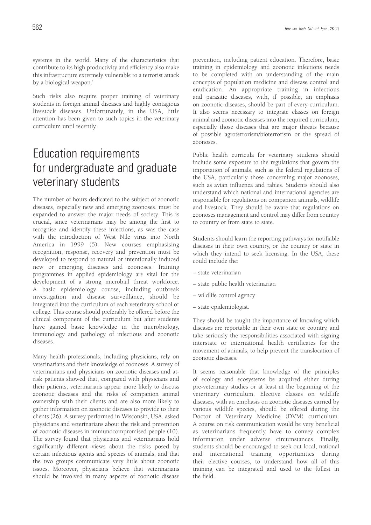systems in the world. Many of the characteristics that contribute to its high productivity and efficiency also make this infrastructure extremely vulnerable to a terrorist attack by a biological weapon.'

Such risks also require proper training of veterinary students in foreign animal diseases and highly contagious livestock diseases. Unfortunately, in the USA, little attention has been given to such topics in the veterinary curriculum until recently.

# Education requirements for undergraduate and graduate veterinary students

The number of hours dedicated to the subject of zoonotic diseases, especially new and emerging zoonoses, must be expanded to answer the major needs of society. This is crucial, since veterinarians may be among the first to recognise and identify these infections, as was the case with the introduction of West Nile virus into North America in 1999 (5). New courses emphasising recognition, response, recovery and prevention must be developed to respond to natural or intentionally induced new or emerging diseases and zoonoses. Training programmes in applied epidemiology are vital for the development of a strong microbial threat workforce. A basic epidemiology course, including outbreak investigation and disease surveillance, should be integrated into the curriculum of each veterinary school or college. This course should preferably be offered before the clinical component of the curriculum but after students have gained basic knowledge in the microbiology, immunology and pathology of infectious and zoonotic diseases.

Many health professionals, including physicians, rely on veterinarians and their knowledge of zoonoses. A survey of veterinarians and physicians on zoonotic diseases and atrisk patients showed that, compared with physicians and their patients, veterinarians appear more likely to discuss zoonotic diseases and the risks of companion animal ownership with their clients and are also more likely to gather information on zoonotic diseases to provide to their clients (26). A survey performed in Wisconsin, USA, asked physicians and veterinarians about the risk and prevention of zoonotic diseases in immunocompromised people (10). The survey found that physicians and veterinarians hold significantly different views about the risks posed by certain infectious agents and species of animals, and that the two groups communicate very little about zoonotic issues. Moreover, physicians believe that veterinarians should be involved in many aspects of zoonotic disease

prevention, including patient education. Therefore, basic training in epidemiology and zoonotic infections needs to be completed with an understanding of the main concepts of population medicine and disease control and eradication. An appropriate training in infectious and parasitic diseases, with, if possible, an emphasis on zoonotic diseases, should be part of every curriculum. It also seems necessary to integrate classes on foreign animal and zoonotic diseases into the required curriculum, especially those diseases that are major threats because of possible agroterrorism/bioterrorism or the spread of zoonoses.

Public health curricula for veterinary students should include some exposure to the regulations that govern the importation of animals, such as the federal regulations of the USA, particularly those concerning major zoonoses, such as avian influenza and rabies. Students should also understand which national and international agencies are responsible for regulations on companion animals, wildlife and livestock. They should be aware that regulations on zoonoses management and control may differ from country to country or from state to state.

Students should learn the reporting pathways for notifiable diseases in their own country, or the country or state in which they intend to seek licensing. In the USA, these could include the:

- − state veterinarian
- − state public health veterinarian
- − wildlife control agency
- − state epidemiologist.

They should be taught the importance of knowing which diseases are reportable in their own state or country, and take seriously the responsibilities associated with signing interstate or international health certificates for the movement of animals, to help prevent the translocation of zoonotic diseases.

It seems reasonable that knowledge of the principles of ecology and ecosystems be acquired either during pre-veterinary studies or at least at the beginning of the veterinary curriculum. Elective classes on wildlife diseases, with an emphasis on zoonotic diseases carried by various wildlife species, should be offered during the Doctor of Veterinary Medicine (DVM) curriculum. A course on risk communication would be very beneficial as veterinarians frequently have to convey complex information under adverse circumstances. Finally, students should be encouraged to seek out local, national and international training opportunities during their elective courses, to understand how all of this training can be integrated and used to the fullest in the field.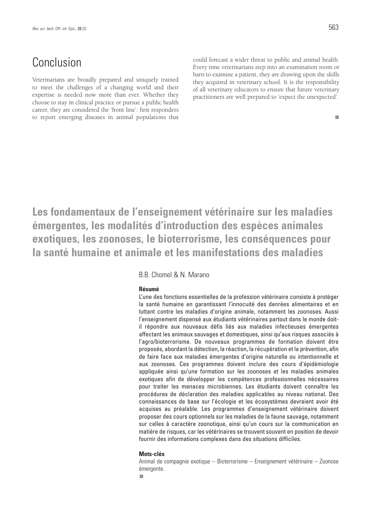# Conclusion

Veterinarians are broadly prepared and uniquely trained to meet the challenges of a changing world and their expertise is needed now more than ever. Whether they choose to stay in clinical practice or pursue a public health career, they are considered the 'front line': first responders to report emerging diseases in animal populations that could forecast a wider threat to public and animal health. Every time veterinarians step into an examination room or barn to examine a patient, they are drawing upon the skills they acquired in veterinary school. It is the responsibility of all veterinary educators to ensure that future veterinary practitioners are well prepared to 'expect the unexpected'.

#### ш

**Les fondamentaux de l'enseignement vétérinaire sur les maladies émergentes, les modalités d'introduction des espèces animales exotiques, les zoonoses, le bioterrorisme, les conséquences pour la santé humaine et animale et les manifestations des maladies**

### B.B. Chomel & N. Marano

#### **Résumé**

L'une des fonctions essentielles de la profession vétérinaire consiste à protéger la santé humaine en garantissant l'innocuité des denrées alimentaires et en luttant contre les maladies d'origine animale, notamment les zoonoses. Aussi l'enseignement dispensé aux étudiants vétérinaires partout dans le monde doitil répondre aux nouveaux défis liés aux maladies infectieuses émergentes affectant les animaux sauvages et domestiques, ainsi qu'aux risques associés à l'agro/bioterrorisme. De nouveaux programmes de formation doivent être proposés, abordant la détection, la réaction, la récupération et la prévention, afin de faire face aux maladies émergentes d'origine naturelle ou intentionnelle et aux zoonoses. Ces programmes doivent inclure des cours d'épidémiologie appliquée ainsi qu'une formation sur les zoonoses et les maladies animales exotiques afin de développer les compétences professionnelles nécessaires pour traiter les menaces microbiennes. Les étudiants doivent connaître les procédures de déclaration des maladies applicables au niveau national. Des connaissances de base sur l'écologie et les écosystèmes devraient avoir été acquises au préalable. Les programmes d'enseignement vétérinaire doivent proposer des cours optionnels sur les maladies de la faune sauvage, notamment sur celles à caractère zoonotique, ainsi qu'un cours sur la communication en matière de risques, car les vétérinaires se trouvent souvent en position de devoir fournir des informations complexes dans des situations difficiles.

### **Mots-clés**

Animal de compagnie exotique – Bioterrorisme – Enseignement vétérinaire – Zoonose émergente.

m.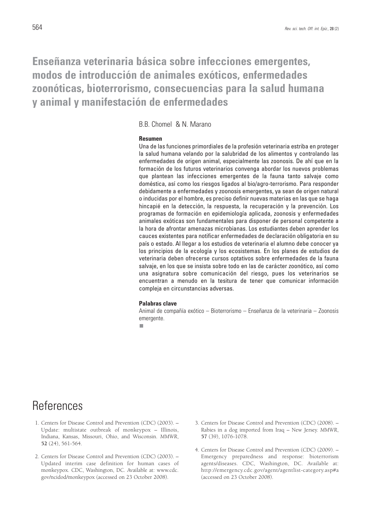# **Enseñanza veterinaria básica sobre infecciones emergentes, modos de introducción de animales exóticos, enfermedades zoonóticas, bioterrorismo, consecuencias para la salud humana y animal y manifestación de enfermedades**

B.B. Chomel & N. Marano

### **Resumen**

Una de las funciones primordiales de la profesión veterinaria estriba en proteger la salud humana velando por la salubridad de los alimentos y controlando las enfermedades de origen animal, especialmente las zoonosis. De ahí que en la formación de los futuros veterinarios convenga abordar los nuevos problemas que plantean las infecciones emergentes de la fauna tanto salvaje como doméstica, así como los riesgos ligados al bio/agro-terrorismo. Para responder debidamente a enfermedades y zoonosis emergentes, ya sean de origen natural o inducidas por el hombre, es preciso definir nuevas materias en las que se haga hincapié en la detección, la respuesta, la recuperación y la prevención. Los programas de formación en epidemiología aplicada, zoonosis y enfermedades animales exóticas son fundamentales para disponer de personal competente a la hora de afrontar amenazas microbianas. Los estudiantes deben aprender los cauces existentes para notificar enfermedades de declaración obligatoria en su país o estado. Al llegar a los estudios de veterinaria el alumno debe conocer ya los principios de la ecología y los ecosistemas. En los planes de estudios de veterinaria deben ofrecerse cursos optativos sobre enfermedades de la fauna salvaje, en los que se insista sobre todo en las de carácter zoonótico, así como una asignatura sobre comunicación del riesgo, pues los veterinarios se encuentran a menudo en la tesitura de tener que comunicar información compleja en circunstancias adversas.

### **Palabras clave**

Animal de compañía exótico – Bioterrorismo – Enseñanza de la veterinaria – Zoonosis emergente.

Ì.

# References

- 1. Centers for Disease Control and Prevention (CDC) (2003). Update: multistate outbreak of monkeypox – Illinois, Indiana, Kansas, Missouri, Ohio, and Wisconsin. *MMWR*, **52** (24), 561-564.
- 2. Centers for Disease Control and Prevention (CDC) (2003). Updated interim case definition for human cases of monkeypox. CDC, Washington, DC. Available at: www.cdc. gov/ncidod/monkeypox (accessed on 23 October 2008).
- 3. Centers for Disease Control and Prevention (CDC) (2008). Rabies in a dog imported from Iraq – New Jersey. *MMWR*, **57** (39), 1076-1078.
- 4. Centers for Disease Control and Prevention (CDC) (2009). Emergency preparedness and response: bioterrorism agents/diseases. CDC, Washington, DC. Available at: http://emergency.cdc.gov/agent/agentlist-category.asp#a (accessed on 23 October 2008).